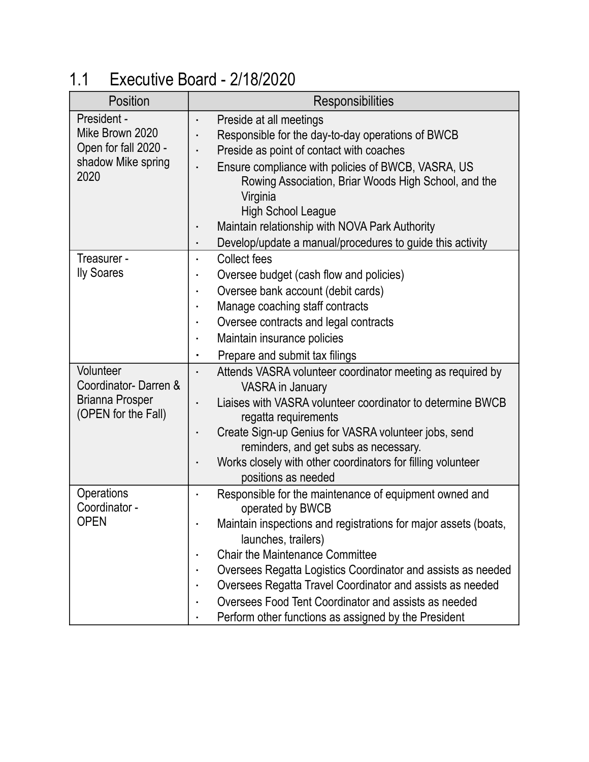## 1.1 Executive Board - 2/18/2020

| Position                                                                             | <b>Responsibilities</b>                                                                                                                                                                                                                                                                                                                                                                                                                                     |
|--------------------------------------------------------------------------------------|-------------------------------------------------------------------------------------------------------------------------------------------------------------------------------------------------------------------------------------------------------------------------------------------------------------------------------------------------------------------------------------------------------------------------------------------------------------|
| President -<br>Mike Brown 2020<br>Open for fall 2020 -<br>shadow Mike spring<br>2020 | Preside at all meetings<br>Responsible for the day-to-day operations of BWCB<br>Preside as point of contact with coaches<br>Ensure compliance with policies of BWCB, VASRA, US<br>Rowing Association, Briar Woods High School, and the<br>Virginia<br><b>High School League</b><br>Maintain relationship with NOVA Park Authority<br>Develop/update a manual/procedures to guide this activity<br>٠                                                         |
| Treasurer -<br><b>Ily Soares</b>                                                     | <b>Collect fees</b><br>Oversee budget (cash flow and policies)<br>Oversee bank account (debit cards)<br>Manage coaching staff contracts<br>Oversee contracts and legal contracts<br>Maintain insurance policies<br>Prepare and submit tax filings                                                                                                                                                                                                           |
| Volunteer<br>Coordinator-Darren &<br><b>Brianna Prosper</b><br>(OPEN for the Fall)   | Attends VASRA volunteer coordinator meeting as required by<br>VASRA in January<br>Liaises with VASRA volunteer coordinator to determine BWCB<br>regatta requirements<br>Create Sign-up Genius for VASRA volunteer jobs, send<br>reminders, and get subs as necessary.<br>Works closely with other coordinators for filling volunteer<br>positions as needed                                                                                                 |
| Operations<br>Coordinator -<br><b>OPEN</b>                                           | Responsible for the maintenance of equipment owned and<br>operated by BWCB<br>Maintain inspections and registrations for major assets (boats,<br>launches, trailers)<br><b>Chair the Maintenance Committee</b><br>Oversees Regatta Logistics Coordinator and assists as needed<br>Oversees Regatta Travel Coordinator and assists as needed<br>Oversees Food Tent Coordinator and assists as needed<br>Perform other functions as assigned by the President |